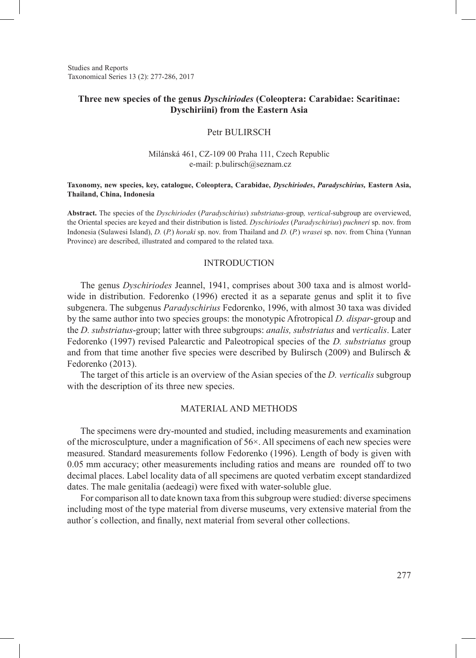Studies and Reports Taxonomical Series 13 (2): 277-286, 2017

## **Three new species of the genus** *Dyschiriodes* **(Coleoptera: Carabidae: Scaritinae: Dyschiriini) from the Eastern Asia**

## Petr BULIRSCH

## Milánská 461, CZ-109 00 Praha 111, Czech Republic e-mail: p.bulirsch@seznam.cz

#### **Taxonomy, new species, key, catalogue, Coleoptera, Carabidae,** *Dyschiriodes***,** *Paradyschirius,* **Eastern Asia, Thailand, China, Indonesia**

**Abstract.** The species of the *Dyschiriodes* (*Paradyschirius*) *substriatus-*group*, vertical-*subgroup are overviewed, the Oriental species are keyed and their distribution is listed. *Dyschiriodes* (*Paradyschirius*) *puchneri* sp. nov. from Indonesia (Sulawesi Island), *D.* (*P.*) *horaki* sp. nov. from Thailand and *D.* (*P.*) *wrasei* sp. nov. from China (Yunnan Province) are described, illustrated and compared to the related taxa.

## INTRODUCTION

The genus *Dyschiriodes* Jeannel, 1941, comprises about 300 taxa and is almost worldwide in distribution. Fedorenko (1996) erected it as a separate genus and split it to five subgenera. The subgenus *Paradyschirius* Fedorenko, 1996, with almost 30 taxa was divided by the same author into two species groups: the monotypic Afrotropical *D. dispar*-group and the *D. substriatus*-group; latter with three subgroups: *analis, substriatus* and *verticalis*. Later Fedorenko (1997) revised Palearctic and Paleotropical species of the *D. substriatus* group and from that time another five species were described by Bulirsch (2009) and Bulirsch  $\&$ Fedorenko (2013).

The target of this article is an overview of the Asian species of the *D. verticalis* subgroup with the description of its three new species.

#### MATERIAL AND METHODS

The specimens were dry-mounted and studied, including measurements and examination of the microsculpture, under a magnification of  $56\times$ . All specimens of each new species were measured. Standard measurements follow Fedorenko (1996). Length of body is given with 0.05 mm accuracy; other measurements including ratios and means are rounded off to two decimal places. Label locality data of all specimens are quoted verbatim except standardized dates. The male genitalia (aedeagi) were fixed with water-soluble glue.

For comparison all to date known taxa from this subgroup were studied: diverse specimens including most of the type material from diverse museums, very extensive material from the author´s collection, and finally, next material from several other collections.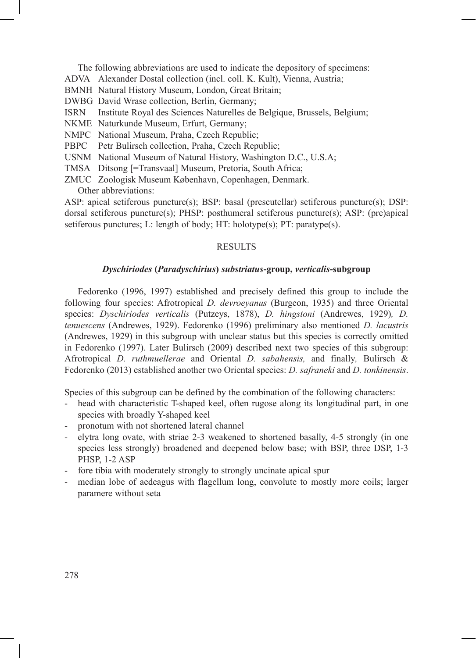- The following abbreviations are used to indicate the depository of specimens:
- ADVA Alexander Dostal collection (incl. coll. K. Kult), Vienna, Austria;
- BMNH Natural History Museum, London, Great Britain;
- DWBG David Wrase collection, Berlin, Germany;
- ISRN Institute Royal des Sciences Naturelles de Belgique, Brussels, Belgium;
- NKME Naturkunde Museum, Erfurt, Germany;
- NMPC National Museum, Praha, Czech Republic;
- PBPC Petr Bulirsch collection, Praha, Czech Republic;
- USNM National Museum of Natural History, Washington D.C., U.S.A;
- TMSA Ditsong [=Transvaal] Museum, Pretoria, South Africa;
- ZMUC Zoologisk Museum København, Copenhagen, Denmark. Other abbreviations:

ASP: apical setiferous puncture(s); BSP: basal (prescutellar) setiferous puncture(s); DSP: dorsal setiferous puncture(s); PHSP: posthumeral setiferous puncture(s); ASP: (pre)apical setiferous punctures; L: length of body; HT: holotype(s); PT: paratype(s).

## **RESULTS**

## *Dyschiriodes* **(***Paradyschirius***)** *substriatus***-group,** *verticalis***-subgroup**

Fedorenko (1996, 1997) established and precisely defined this group to include the following four species: Afrotropical *D. devroeyanus* (Burgeon, 1935) and three Oriental species: *Dyschiriodes verticalis* (Putzeys, 1878), *D. hingstoni* (Andrewes, 1929)*, D. tenuescens* (Andrewes, 1929). Fedorenko (1996) preliminary also mentioned *D. lacustris*  (Andrewes, 1929) in this subgroup with unclear status but this species is correctly omitted in Fedorenko (1997). Later Bulirsch (2009) described next two species of this subgroup: Afrotropical *D. ruthmuellerae* and Oriental *D. sabahensis,* and finally*,* Bulirsch & Fedorenko (2013) established another two Oriental species: *D. safraneki* and *D. tonkinensis*.

Species of this subgroup can be defined by the combination of the following characters:

- head with characteristic T-shaped keel, often rugose along its longitudinal part, in one species with broadly Y-shaped keel
- pronotum with not shortened lateral channel
- elytra long ovate, with striae 2-3 weakened to shortened basally, 4-5 strongly (in one species less strongly) broadened and deepened below base; with BSP, three DSP, 1-3 PHSP, 1-2 ASP
- fore tibia with moderately strongly to strongly uncinate apical spur
- median lobe of aedeagus with flagellum long, convolute to mostly more coils; larger paramere without seta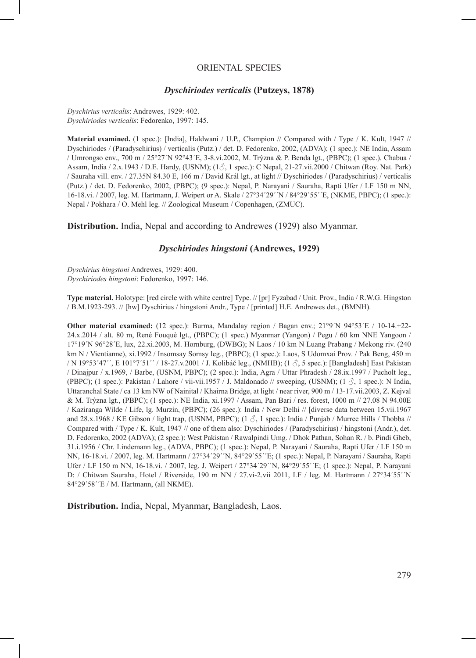## ORIENTAL SPECIES

#### *Dyschiriodes verticalis* **(Putzeys, 1878)**

*Dyschirius verticalis*: Andrewes, 1929: 402. *Dyschiriodes verticalis*: Fedorenko, 1997: 145.

**Material examined.** (1 spec.): [India], Haldwani / U.P., Champion // Compared with / Type / K. Kult, 1947 // Dyschiriodes / (Paradyschirius) / verticalis (Putz.) / det. D. Fedorenko, 2002, (ADVA); (1 spec.): NE India, Assam / Umrongso env., 700 m / 25°27´N 92°43´E, 3-8.vi.2002, M. Trýzna & P. Benda lgt., (PBPC); (1 spec.). Chabua / Assam, India / 2.x.1943 / D.E. Hardy, (USNM); (1♂, 1 spec.): C Nepal, 21-27.vii.2000 / Chitwan (Roy. Nat. Park) / Sauraha vill. env. / 27.35N 84.30 E, 166 m / David Král lgt., at light // Dyschiriodes / (Paradyschirius) / verticalis (Putz.) / det. D. Fedorenko, 2002, (PBPC); (9 spec.): Nepal, P. Narayani / Sauraha, Rapti Ufer / LF 150 m NN, 16-18.vi. / 2007, leg. M. Hartmann, J. Weipert or A. Skale / 27°34´29´´N / 84°29´55´´E, (NKME, PBPC); (1 spec.): Nepal / Pokhara / O. Mehl leg. // Zoological Museum / Copenhagen, (ZMUC).

**Distribution.** India, Nepal and according to Andrewes (1929) also Myanmar.

## *Dyschiriodes hingstoni* **(Andrewes, 1929)**

*Dyschirius hingstoni* Andrewes, 1929: 400. *Dyschiriodes hingstoni*: Fedorenko, 1997: 146.

**Type material.** Holotype: [red circle with white centre] Type. // [pr] Fyzabad / Unit. Prov., India / R.W.G. Hingston / B.M.1923-293. // [hw] Dyschirius / hingstoni Andr., Type / [printed] H.E. Andrewes det., (BMNH).

**Other material examined:** (12 spec.): Burma, Mandalay region / Bagan env.; 21°9´N 94°53´E / 10-14.+22-24.x.2014 / alt. 80 m, René Fouquè lgt., (PBPC); (1 spec.) Myanmar (Yangon) / Pegu / 60 km NNE Yangoon / 17°19´N 96°28´E, lux, 22.xi.2003, M. Hornburg, (DWBG); N Laos / 10 km N Luang Prabang / Mekong riv. (240 km N / Vientianne), xi.1992 / Insomsay Somsy leg., (PBPC); (1 spec.): Laos, S Udomxai Prov. / Pak Beng, 450 m / N 19°53´47´´, E 101°7´51´´ / 18-27.v.2001 / J. Kolibáč leg., (NMHB); (1 ♂, 5 spec.): [Bangladesh] East Pakistan / Dinajpur / x.1969, / Barbe, (USNM, PBPC); (2 spec.): India, Agra / Uttar Phradesh / 28.ix.1997 / Pucholt leg., (PBPC); (1 spec.): Pakistan / Lahore / vii-vii.1957 / J. Maldonado // sweeping, (USNM); (1  $\Diamond$ , 1 spec.): N India, Uttaranchal State / ca 13 km NW of Nainital / Khairna Bridge, at light / near river, 900 m / 13-17.vii.2003, Z. Kejval & M. Trýzna lgt., (PBPC); (1 spec.): NE India, xi.1997 / Assam, Pan Bari / res. forest, 1000 m // 27.08 N 94.00E / Kaziranga Wilde / Life, lg. Murzin, (PBPC); (26 spec.): India / New Delhi // [diverse data between 15.vii.1967 and 28.x.1968 / KE Gibson / light trap, (USNM, PBPC);  $(1 \text{ } \overset{\circ}{\circ} \text{, } 1 \text{ spec.})$ : India / Punjab / Murree Hills / Thobba // Compared with / Type / K. Kult, 1947 // one of them also: Dyschiriodes / (Paradyschirius) / hingstoni (Andr.), det. D. Fedorenko, 2002 (ADVA); (2 spec.): West Pakistan / Rawalpindi Umg. / Dhok Pathan, Sohan R. / b. Pindi Gheb, 31.i.1956 / Chr. Lindemann leg., (ADVA, PBPC); (1 spec.): Nepal, P. Narayani / Sauraha, Rapti Ufer / LF 150 m NN, 16-18.vi. / 2007, leg. M. Hartmann / 27°34´29´´N, 84°29´55´´E; (1 spec.): Nepal, P. Narayani / Sauraha, Rapti Ufer / LF 150 m NN, 16-18.vi. / 2007, leg. J. Weipert / 27°34´29´´N, 84°29´55´´E; (1 spec.): Nepal, P. Narayani D: / Chitwan Sauraha, Hotel / Riverside, 190 m NN / 27.vi-2.vii 2011, LF / leg. M. Hartmann / 27°34′55´´N 84°29´58´´E / M. Hartmann, (all NKME).

**Distribution.** India, Nepal, Myanmar, Bangladesh, Laos.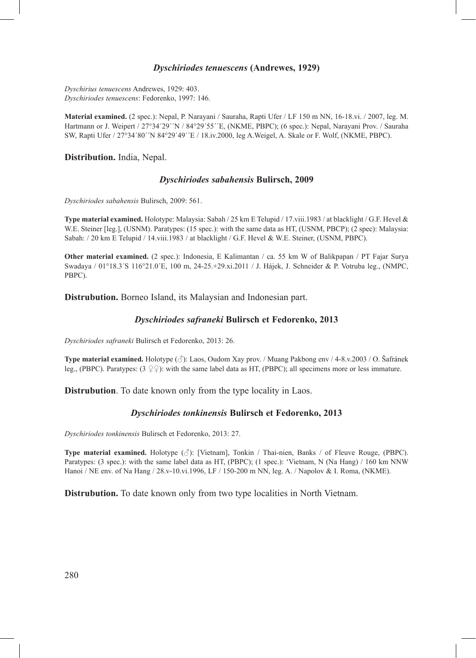## *Dyschiriodes tenuescens* **(Andrewes, 1929)**

*Dyschirius tenuescens* Andrewes, 1929: 403. *Dyschiriodes tenuescens*: Fedorenko, 1997: 146.

**Material examined.** (2 spec.): Nepal, P. Narayani / Sauraha, Rapti Ufer / LF 150 m NN, 16-18.vi. / 2007, leg. M. Hartmann or J. Weipert / 27°34′29′´N / 84°29′55′´E, (NKME, PBPC); (6 spec.): Nepal, Narayani Prov. / Sauraha SW, Rapti Ufer / 27°34´80´´N 84°29´49´´E / 18.iv.2000, leg A.Weigel, A. Skale or F. Wolf, (NKME, PBPC).

## **Distribution.** India, Nepal.

## *Dyschiriodes sabahensis* **Bulirsch, 2009**

*Dyschiriodes sabahensis* Bulirsch, 2009: 561.

**Type material examined.** Holotype: Malaysia: Sabah / 25 km E Telupid / 17.viii.1983 / at blacklight / G.F. Hevel & W.E. Steiner [leg.], (USNM). Paratypes: (15 spec.): with the same data as HT, (USNM, PBCP); (2 spec): Malaysia: Sabah: / 20 km E Telupid / 14.viii.1983 / at blacklight / G.F. Hevel & W.E. Steiner, (USNM, PBPC).

**Other material examined.** (2 spec.): Indonesia, E Kalimantan / ca. 55 km W of Balikpapan / PT Fajar Surya Swadaya / 01°18.3´S 116°21.0´E, 100 m, 24-25.+29.xi.2011 / J. Hájek, J. Schneider & P. Votruba leg., (NMPC, PBPC).

**Distrubution.** Borneo Island, its Malaysian and Indonesian part.

## *Dyschiriodes safraneki* **Bulirsch et Fedorenko, 2013**

*Dyschiriodes safraneki* Bulirsch et Fedorenko, 2013: 26.

**Type material examined.** Holotype (♂): Laos, Oudom Xay prov. / Muang Pakbong env / 4-8.v.2003 / O. Šafránek leg., (PBPC). Paratypes:  $(3 \nsubseteq \nsubseteq)$ : with the same label data as HT, (PBPC); all specimens more or less immature.

**Distrubution**. To date known only from the type locality in Laos.

## *Dyschiriodes tonkinensis* **Bulirsch et Fedorenko, 2013**

*Dyschiriodes tonkinensis* Bulirsch et Fedorenko, 2013: 27.

**Type material examined.** Holotype (♂): [Vietnam], Tonkin / Thai-nien, Banks / of Fleuve Rouge, (PBPC). Paratypes: (3 spec.): with the same label data as HT, (PBPC); (1 spec.): 'Vietnam, N (Na Hang) / 160 km NNW Hanoi / NE env. of Na Hang / 28.v-10.vi.1996, LF / 150-200 m NN, leg. A. / Napolov & I. Roma, (NKME).

**Distrubution.** To date known only from two type localities in North Vietnam.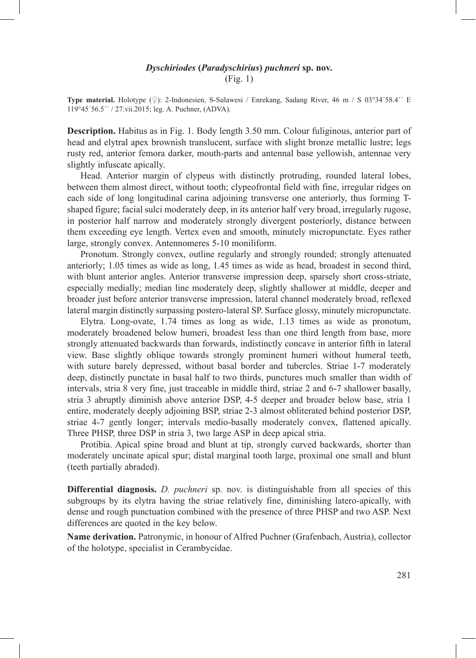## *Dyschiriodes* **(***Paradyschirius***)** *puchneri* **sp. nov.** (Fig. 1)

**Type material.** Holotype (♀): 2-Indonesien, S-Sulawesi / Enrekang, Sadang River, 46 m / S 03°34´58.4´´ E 119°45´56.5´´ / 27.vii.2015; leg. A. Puchner, (ADVA).

**Description.** Habitus as in Fig. 1. Body length 3.50 mm. Colour fuliginous, anterior part of head and elytral apex brownish translucent, surface with slight bronze metallic lustre; legs rusty red, anterior femora darker, mouth-parts and antennal base yellowish, antennae very slightly infuscate apically.

Head. Anterior margin of clypeus with distinctly protruding, rounded lateral lobes, between them almost direct, without tooth; clypeofrontal field with fine, irregular ridges on each side of long longitudinal carina adjoining transverse one anteriorly, thus forming Tshaped figure; facial sulci moderately deep, in its anterior half very broad, irregularly rugose, in posterior half narrow and moderately strongly divergent posteriorly, distance between them exceeding eye length. Vertex even and smooth, minutely micropunctate. Eyes rather large, strongly convex. Antennomeres 5-10 moniliform.

Pronotum. Strongly convex, outline regularly and strongly rounded; strongly attenuated anteriorly; 1.05 times as wide as long, 1.45 times as wide as head, broadest in second third, with blunt anterior angles. Anterior transverse impression deep, sparsely short cross-striate, especially medially; median line moderately deep, slightly shallower at middle, deeper and broader just before anterior transverse impression, lateral channel moderately broad, reflexed lateral margin distinctly surpassing postero-lateral SP. Surface glossy, minutely micropunctate.

Elytra. Long-ovate, 1.74 times as long as wide, 1.13 times as wide as pronotum, moderately broadened below humeri, broadest less than one third length from base, more strongly attenuated backwards than forwards, indistinctly concave in anterior fifth in lateral view. Base slightly oblique towards strongly prominent humeri without humeral teeth, with suture barely depressed, without basal border and tubercles. Striae 1-7 moderately deep, distinctly punctate in basal half to two thirds, punctures much smaller than width of intervals, stria 8 very fine, just traceable in middle third, striae 2 and 6-7 shallower basally, stria 3 abruptly diminish above anterior DSP, 4-5 deeper and broader below base, stria 1 entire, moderately deeply adjoining BSP, striae 2-3 almost obliterated behind posterior DSP, striae 4-7 gently longer; intervals medio-basally moderately convex, flattened apically. Three PHSP, three DSP in stria 3, two large ASP in deep apical stria.

Protibia. Apical spine broad and blunt at tip, strongly curved backwards, shorter than moderately uncinate apical spur; distal marginal tooth large, proximal one small and blunt (teeth partially abraded).

**Differential diagnosis.** *D. puchneri* sp. nov. is distinguishable from all species of this subgroups by its elytra having the striae relatively fine, diminishing latero-apically, with dense and rough punctuation combined with the presence of three PHSP and two ASP. Next differences are quoted in the key below.

**Name derivation.** Patronymic, in honour of Alfred Puchner (Grafenbach, Austria), collector of the holotype, specialist in Cerambycidae.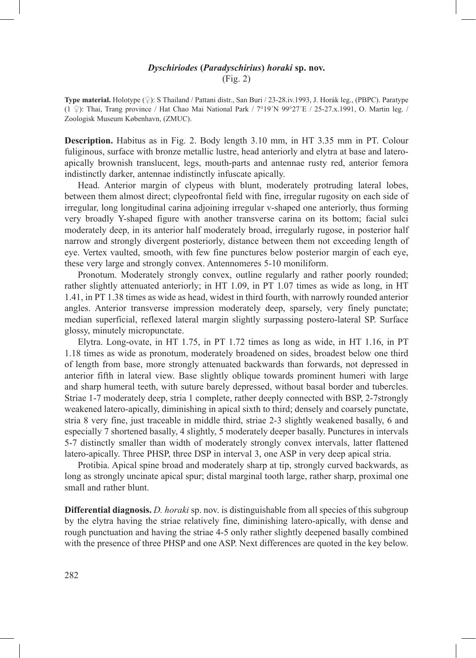# *Dyschiriodes* **(***Paradyschirius***)** *horaki* **sp. nov.** (Fig. 2)

**Type material.** Holotype (♀): S Thailand / Pattani distr., San Buri / 23-28.iv.1993, J. Horák leg., (PBPC). Paratype (1  $\circ$ ): Thai, Trang province / Hat Chao Mai National Park / 7°19´N 99°27′E / 25-27.x.1991, O. Martin leg. / Zoologisk Museum København, (ZMUC).

**Description.** Habitus as in Fig. 2. Body length 3.10 mm, in HT 3.35 mm in PT. Colour fuliginous, surface with bronze metallic lustre, head anteriorly and elytra at base and lateroapically brownish translucent, legs, mouth-parts and antennae rusty red, anterior femora indistinctly darker, antennae indistinctly infuscate apically.

Head. Anterior margin of clypeus with blunt, moderately protruding lateral lobes, between them almost direct; clypeofrontal field with fine, irregular rugosity on each side of irregular, long longitudinal carina adjoining irregular v-shaped one anteriorly, thus forming very broadly Y-shaped figure with another transverse carina on its bottom; facial sulci moderately deep, in its anterior half moderately broad, irregularly rugose, in posterior half narrow and strongly divergent posteriorly, distance between them not exceeding length of eye. Vertex vaulted, smooth, with few fine punctures below posterior margin of each eye, these very large and strongly convex. Antennomeres 5-10 moniliform.

Pronotum. Moderately strongly convex, outline regularly and rather poorly rounded; rather slightly attenuated anteriorly; in HT 1.09, in PT 1.07 times as wide as long, in HT 1.41, in PT 1.38 times as wide as head, widest in third fourth, with narrowly rounded anterior angles. Anterior transverse impression moderately deep, sparsely, very finely punctate; median superficial, reflexed lateral margin slightly surpassing postero-lateral SP. Surface glossy, minutely micropunctate.

Elytra. Long-ovate, in HT 1.75, in PT 1.72 times as long as wide, in HT 1.16, in PT 1.18 times as wide as pronotum, moderately broadened on sides, broadest below one third of length from base, more strongly attenuated backwards than forwards, not depressed in anterior fifth in lateral view. Base slightly oblique towards prominent humeri with large and sharp humeral teeth, with suture barely depressed, without basal border and tubercles. Striae 1-7 moderately deep, stria 1 complete, rather deeply connected with BSP, 2-7strongly weakened latero-apically, diminishing in apical sixth to third; densely and coarsely punctate, stria 8 very fine, just traceable in middle third, striae 2-3 slightly weakened basally, 6 and especially 7 shortened basally, 4 slightly, 5 moderately deeper basally. Punctures in intervals 5-7 distinctly smaller than width of moderately strongly convex intervals, latter flattened latero-apically. Three PHSP, three DSP in interval 3, one ASP in very deep apical stria.

Protibia. Apical spine broad and moderately sharp at tip, strongly curved backwards, as long as strongly uncinate apical spur; distal marginal tooth large, rather sharp, proximal one small and rather blunt.

**Differential diagnosis.** *D. horaki* sp. nov. is distinguishable from all species of this subgroup by the elytra having the striae relatively fine, diminishing latero-apically, with dense and rough punctuation and having the striae 4-5 only rather slightly deepened basally combined with the presence of three PHSP and one ASP. Next differences are quoted in the key below.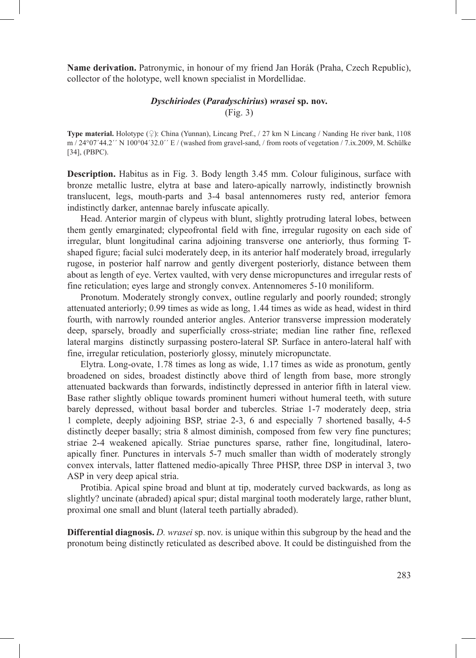**Name derivation.** Patronymic, in honour of my friend Jan Horák (Praha, Czech Republic), collector of the holotype, well known specialist in Mordellidae.

# *Dyschiriodes* **(***Paradyschirius***)** *wrasei* **sp. nov.** (Fig. 3)

**Type material.** Holotype (♀): China (Yunnan), Lincang Pref., / 27 km N Lincang / Nanding He river bank, 1108 m / 24°07´44.2´´ N 100°04´32.0´´ E / (washed from gravel-sand, / from roots of vegetation / 7.ix.2009, M. Schülke [34], (PBPC).

**Description.** Habitus as in Fig. 3. Body length 3.45 mm. Colour fuliginous, surface with bronze metallic lustre, elytra at base and latero-apically narrowly, indistinctly brownish translucent, legs, mouth-parts and 3-4 basal antennomeres rusty red, anterior femora indistinctly darker, antennae barely infuscate apically.

Head. Anterior margin of clypeus with blunt, slightly protruding lateral lobes, between them gently emarginated; clypeofrontal field with fine, irregular rugosity on each side of irregular, blunt longitudinal carina adjoining transverse one anteriorly, thus forming Tshaped figure; facial sulci moderately deep, in its anterior half moderately broad, irregularly rugose, in posterior half narrow and gently divergent posteriorly, distance between them about as length of eye. Vertex vaulted, with very dense micropunctures and irregular rests of fine reticulation; eyes large and strongly convex. Antennomeres 5-10 moniliform.

Pronotum. Moderately strongly convex, outline regularly and poorly rounded; strongly attenuated anteriorly; 0.99 times as wide as long, 1.44 times as wide as head, widest in third fourth, with narrowly rounded anterior angles. Anterior transverse impression moderately deep, sparsely, broadly and superficially cross-striate; median line rather fine, reflexed lateral margins distinctly surpassing postero-lateral SP. Surface in antero-lateral half with fine, irregular reticulation, posteriorly glossy, minutely micropunctate.

Elytra. Long-ovate, 1.78 times as long as wide, 1.17 times as wide as pronotum, gently broadened on sides, broadest distinctly above third of length from base, more strongly attenuated backwards than forwards, indistinctly depressed in anterior fifth in lateral view. Base rather slightly oblique towards prominent humeri without humeral teeth, with suture barely depressed, without basal border and tubercles. Striae 1-7 moderately deep, stria 1 complete, deeply adjoining BSP, striae 2-3, 6 and especially 7 shortened basally, 4-5 distinctly deeper basally; stria 8 almost diminish, composed from few very fine punctures; striae 2-4 weakened apically. Striae punctures sparse, rather fine, longitudinal, lateroapically finer. Punctures in intervals 5-7 much smaller than width of moderately strongly convex intervals, latter flattened medio-apically Three PHSP, three DSP in interval 3, two ASP in very deep apical stria.

Protibia. Apical spine broad and blunt at tip, moderately curved backwards, as long as slightly? uncinate (abraded) apical spur; distal marginal tooth moderately large, rather blunt, proximal one small and blunt (lateral teeth partially abraded).

**Differential diagnosis.** *D. wrasei* sp. nov. is unique within this subgroup by the head and the pronotum being distinctly reticulated as described above. It could be distinguished from the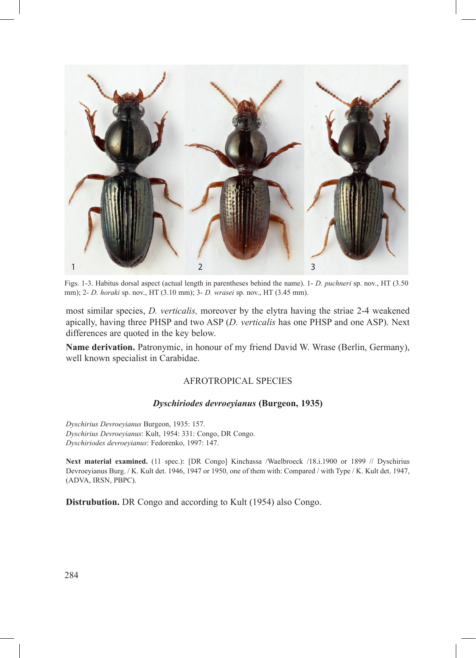

Figs. 1-3. Habitus dorsal aspect (actual length in parentheses behind the name). 1- *D. puchneri* sp. nov., HT (3.50 mm); 2- *D. horaki* sp. nov., HT (3.10 mm); 3- *D. wrasei* sp. nov., HT (3.45 mm).

most similar species, *D. verticalis,* moreover by the elytra having the striae 2-4 weakened apically, having three PHSP and two ASP (*D. verticalis* has one PHSP and one ASP). Next differences are quoted in the key below.

**Name derivation.** Patronymic, in honour of my friend David W. Wrase (Berlin, Germany), well known specialist in Carabidae.

# AFROTROPICAL SPECIES

## *Dyschiriodes devroeyianus* **(Burgeon, 1935)**

*Dyschirius Devroeyianus* Burgeon, 1935: 157. *Dyschirius Devroeyianus*: Kult, 1954: 331: Congo, DR Congo. *Dyschiriodes devroeyianus*: Fedorenko, 1997: 147.

Next material examined. (11 spec.): [DR Congo] Kinchassa /Waelbroeck /18.i.1900 or 1899 // Dyschirius Devroeyianus Burg. / K. Kult det. 1946, 1947 or 1950, one of them with: Compared / with Type / K. Kult det. 1947, (ADVA, IRSN, PBPC).

**Distrubution.** DR Congo and according to Kult (1954) also Congo.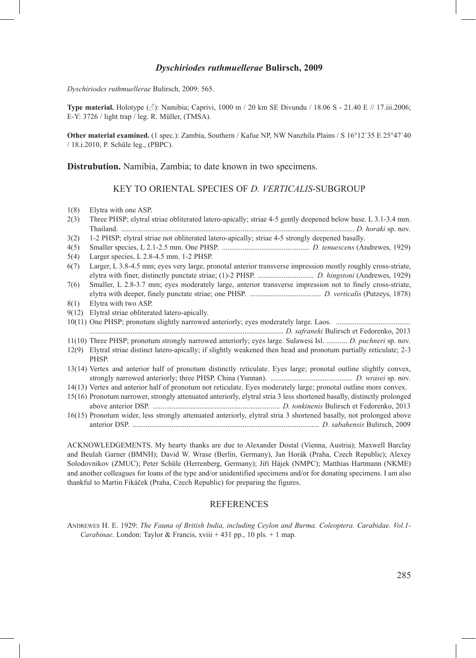#### *Dyschiriodes ruthmuellerae* **Bulirsch, 2009**

*Dyschiriodes ruthmuellerae* Bulirsch, 2009: 565.

**Type material.** Holotype (♂): Namibia; Caprivi, 1000 m / 20 km SE Divundu / 18.06 S - 21.40 E // 17.iii.2006; E-Y: 3726 / light trap / leg. R. Müller, (TMSA).

**Other material examined.** (1 spec.): Zambia, Southern / Kafue NP, NW Nanzhila Plains / S 16°12′35 E 25°47′40 / 18.i.2010, P. Schüle leg., (PBPC).

**Distrubution.** Namibia, Zambia; to date known in two specimens.

## KEY TO ORIENTAL SPECIES OF *D. VERTICALIS*-SUBGROUP

| 1(8)  | Elytra with one ASP.                                                                                                          |
|-------|-------------------------------------------------------------------------------------------------------------------------------|
| 2(3)  | Three PHSP; elytral striae obliterated latero-apically; striae 4-5 gently deepened below base. L 3.1-3.4 mm.                  |
|       |                                                                                                                               |
| 3(2)  | 1-2 PHSP; elytral striae not obliterated latero-apically; striae 4-5 strongly deepened basally.                               |
| 4(5)  |                                                                                                                               |
| 5(4)  | Larger species, L 2.8-4.5 mm. 1-2 PHSP.                                                                                       |
| 6(7)  | Larger, L 3.8-4.5 mm; eyes very large, pronotal anterior transverse impression mostly roughly cross-striate,                  |
| 7(6)  | Smaller, L 2.8-3.7 mm; eyes moderately large, anterior transverse impression not to finely cross-striate,                     |
| 8(1)  | Elytra with two ASP.                                                                                                          |
| 9(12) | Elytral striae obliterated latero-apically.                                                                                   |
|       |                                                                                                                               |
|       |                                                                                                                               |
|       | 11(10) Three PHSP; pronotum strongly narrowed anteriorly; eyes large. Sulawesi Isl.  D. puchneri sp. nov.                     |
|       | 12(9) Elytral striae distinct latero-apically; if slightly weakened then head and pronotum partially reticulate; 2-3<br>PHSP. |
|       | 13(14) Vertex and anterior half of pronotum distinctly reticulate. Eyes large; pronotal outline slightly convex,              |
|       | 14(13) Vertex and anterior half of pronotum not reticulate. Eyes moderately large; pronotal outline more convex.              |
|       | 15(16) Pronotum narrower, strongly attenuated anteriorly, elytral stria 3 less shortened basally, distinctly prolonged        |
|       | 16(15) Pronotum wider, less strongly attenuated anteriorly, elytral stria 3 shortened basally, not prolonged above            |

ACKNOWLEDGEMENTS. My hearty thanks are due to Alexander Dostal (Vienna, Austria); Maxwell Barclay and Beulah Garner (BMNH); David W. Wrase (Berlin, Germany), Jan Horák (Praha, Czech Republic); Alexey Solodovnikov (ZMUC); Peter Schüle (Herrenberg, Germany); Jiří Hájek (NMPC); Matthias Hartmann (NKME) and another colleagues for loans of the type and/or unidentified specimens and/or for donating specimens. I am also thankful to Martin Fikáček (Praha, Czech Republic) for preparing the figures.

#### REFERENCES

Andrewes H. E. 1929: *The Fauna of British India, including Ceylon and Burma. Coleoptera. Carabidae. Vol.1- Carabinae*. London: Taylor & Francis, xviii + 431 pp., 10 pls. + 1 map.